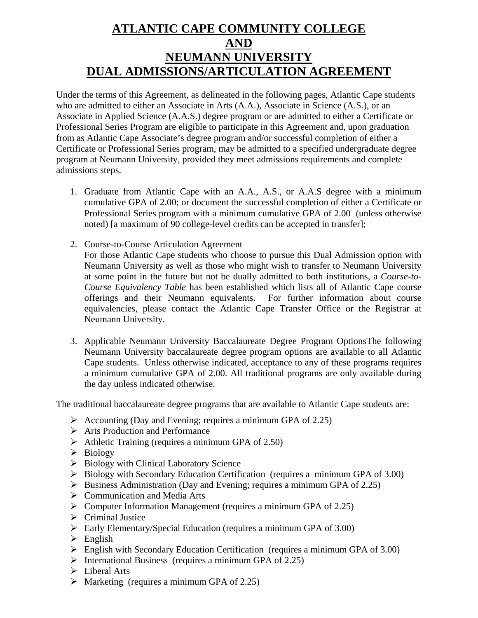## **ATLANTIC CAPE COMMUNITY COLLEGE AND NEUMANN UNIVERSITY DUAL ADMISSIONS/ARTICULATION AGREEMENT**

Under the terms of this Agreement, as delineated in the following pages, Atlantic Cape students who are admitted to either an Associate in Arts (A.A.), Associate in Science (A.S.), or an Associate in Applied Science (A.A.S.) degree program or are admitted to either a Certificate or Professional Series Program are eligible to participate in this Agreement and, upon graduation from as Atlantic Cape Associate's degree program and/or successful completion of either a Certificate or Professional Series program, may be admitted to a specified undergraduate degree program at Neumann University, provided they meet admissions requirements and complete admissions steps.

- 1. Graduate from Atlantic Cape with an A.A., A.S., or A.A.S degree with a minimum cumulative GPA of 2.00; or document the successful completion of either a Certificate or Professional Series program with a minimum cumulative GPA of 2.00 (unless otherwise noted) [a maximum of 90 college-level credits can be accepted in transfer];
- 2. Course-to-Course Articulation Agreement

For those Atlantic Cape students who choose to pursue this Dual Admission option with Neumann University as well as those who might wish to transfer to Neumann University at some point in the future but not be dually admitted to both institutions, a *Course-to-Course Equivalency Table* has been established which lists all of Atlantic Cape course offerings and their Neumann equivalents. For further information about course equivalencies, please contact the Atlantic Cape Transfer Office or the Registrar at Neumann University.

3. Applicable Neumann University Baccalaureate Degree Program OptionsThe following Neumann University baccalaureate degree program options are available to all Atlantic Cape students. Unless otherwise indicated, acceptance to any of these programs requires a minimum cumulative GPA of 2.00. All traditional programs are only available during the day unless indicated otherwise.

The traditional baccalaureate degree programs that are available to Atlantic Cape students are:

- $\triangleright$  Accounting (Day and Evening; requires a minimum GPA of 2.25)
- $\triangleright$  Arts Production and Performance
- $\blacktriangleright$  Athletic Training (requires a minimum GPA of 2.50)
- $\triangleright$  Biology
- ¾ Biology with Clinical Laboratory Science
- ¾ Biology with Secondary Education Certification (requires a minimum GPA of 3.00)
- $\triangleright$  Business Administration (Day and Evening; requires a minimum GPA of 2.25)
- $\triangleright$  Communication and Media Arts
- $\triangleright$  Computer Information Management (requires a minimum GPA of 2.25)
- $\triangleright$  Criminal Justice
- $\triangleright$  Early Elementary/Special Education (requires a minimum GPA of 3.00)
- $\triangleright$  English
- ¾ English with Secondary Education Certification (requires a minimum GPA of 3.00)
- $\triangleright$  International Business (requires a minimum GPA of 2.25)
- $\triangleright$  Liberal Arts
- $\triangleright$  Marketing (requires a minimum GPA of 2.25)